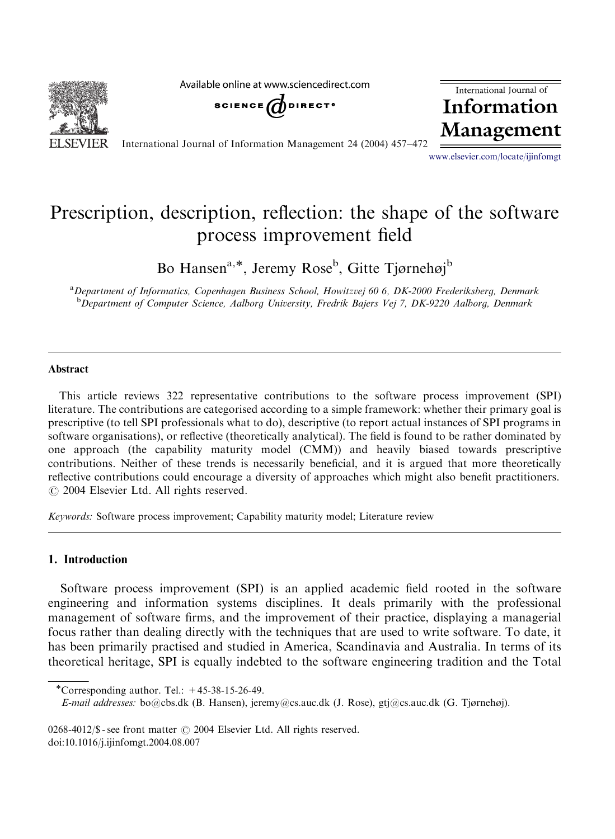FI SEVIER

Available online at www.sciencedirect.com



International Journal of **Information** Management

International Journal of Information Management 24 (2004) 457–472

<www.elsevier.com/locate/ijinfomgt>

# Prescription, description, reflection: the shape of the software process improvement field

Bo Hansen<sup>a,\*</sup>, Jeremy Rose<sup>b</sup>, Gitte Tjørnehøj<sup>b</sup>

<sup>a</sup> Department of Informatics, Copenhagen Business School, Howitzvej 60 6, DK-2000 Frederiksberg, Denmark **b** Department of Computer Science, Aalborg University, Fredrik Bajers Vej 7, DK-9220 Aalborg, Denmark

#### Abstract

This article reviews 322 representative contributions to the software process improvement (SPI) literature. The contributions are categorised according to a simple framework: whether their primary goal is prescriptive (to tell SPI professionals what to do), descriptive (to report actual instances of SPI programs in software organisations), or reflective (theoretically analytical). The field is found to be rather dominated by one approach (the capability maturity model (CMM)) and heavily biased towards prescriptive contributions. Neither of these trends is necessarily beneficial, and it is argued that more theoretically reflective contributions could encourage a diversity of approaches which might also benefit practitioners.  $\odot$  2004 Elsevier Ltd. All rights reserved.

Keywords: Software process improvement; Capability maturity model; Literature review

### 1. Introduction

Software process improvement (SPI) is an applied academic field rooted in the software engineering and information systems disciplines. It deals primarily with the professional management of software firms, and the improvement of their practice, displaying a managerial focus rather than dealing directly with the techniques that are used to write software. To date, it has been primarily practised and studied in America, Scandinavia and Australia. In terms of its theoretical heritage, SPI is equally indebted to the software engineering tradition and the Total

 $0268-4012/\$ S - see front matter  $\odot$  2004 Elsevier Ltd. All rights reserved. doi:10.1016/j.ijinfomgt.2004.08.007

<sup>\*</sup>Corresponding author. Tel.:  $+45-38-15-26-49$ .

E-mail addresses: bo@cbs.dk (B. Hansen), jeremy@cs.auc.dk (J. Rose), gtj@cs.auc.dk (G. Tjørnehøj).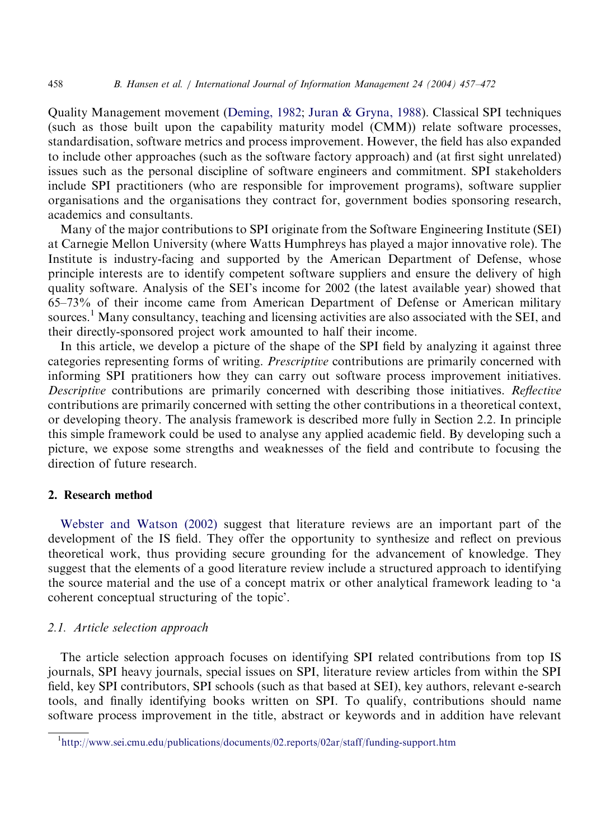Quality Management movement [\(Deming, 1982;](#page--1-0) [Juran](#page--1-0) [& Gryna, 1988](#page--1-0)). Classical SPI techniques (such as those built upon the capability maturity model (CMM)) relate software processes, standardisation, software metrics and process improvement. However, the field has also expanded to include other approaches (such as the software factory approach) and (at first sight unrelated) issues such as the personal discipline of software engineers and commitment. SPI stakeholders include SPI practitioners (who are responsible for improvement programs), software supplier organisations and the organisations they contract for, government bodies sponsoring research, academics and consultants.

Many of the major contributions to SPI originate from the Software Engineering Institute (SEI) at Carnegie Mellon University (where Watts Humphreys has played a major innovative role). The Institute is industry-facing and supported by the American Department of Defense, whose principle interests are to identify competent software suppliers and ensure the delivery of high quality software. Analysis of the SEI's income for 2002 (the latest available year) showed that 65–73% of their income came from American Department of Defense or American military sources.<sup>1</sup> Many consultancy, teaching and licensing activities are also associated with the SEI, and their directly-sponsored project work amounted to half their income.

In this article, we develop a picture of the shape of the SPI field by analyzing it against three categories representing forms of writing. Prescriptive contributions are primarily concerned with informing SPI pratitioners how they can carry out software process improvement initiatives. Descriptive contributions are primarily concerned with describing those initiatives. Reflective contributions are primarily concerned with setting the other contributions in a theoretical context, or developing theory. The analysis framework is described more fully in Section 2.2. In principle this simple framework could be used to analyse any applied academic field. By developing such a picture, we expose some strengths and weaknesses of the field and contribute to focusing the direction of future research.

#### 2. Research method

[Webster and Watson \(2002\)](#page--1-0) suggest that literature reviews are an important part of the development of the IS field. They offer the opportunity to synthesize and reflect on previous theoretical work, thus providing secure grounding for the advancement of knowledge. They suggest that the elements of a good literature review include a structured approach to identifying the source material and the use of a concept matrix or other analytical framework leading to 'a coherent conceptual structuring of the topic'.

#### 2.1. Article selection approach

The article selection approach focuses on identifying SPI related contributions from top IS journals, SPI heavy journals, special issues on SPI, literature review articles from within the SPI field, key SPI contributors, SPI schools (such as that based at SEI), key authors, relevant e-search tools, and finally identifying books written on SPI. To qualify, contributions should name software process improvement in the title, abstract or keywords and in addition have relevant

<sup>1</sup> <http://www.sei.cmu.edu/publications/documents/02.reports/02ar/staff/funding-support.htm>